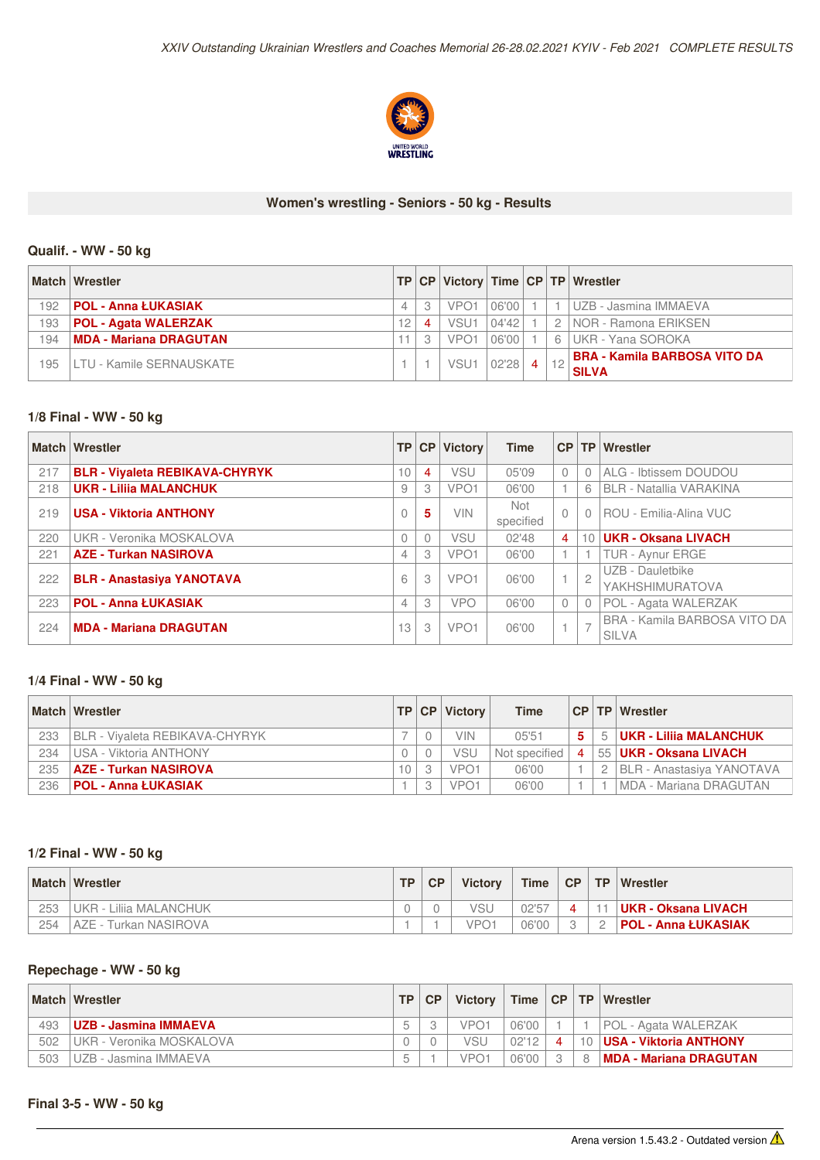

#### **Women's wrestling - Seniors - 50 kg - Results**

# **Qualif. - WW -50 kg**

|     | <b>Match Wrestler</b>          |                |   |                  |        |  | TP CP Victory Time CP TP Wrestler    |
|-----|--------------------------------|----------------|---|------------------|--------|--|--------------------------------------|
| 192 | POL - Anna ŁUKASIAK            | $\overline{4}$ | 3 | VPO <sub>1</sub> | 06'00  |  | UZB - Jasmina IMMAEVA                |
| 193 | <b>POL - Agata WALERZAK</b>    | '2             | 4 | VSU <sup>-</sup> | 104'42 |  | 2 INOR - Ramona ERIKSEN              |
| 194 | <b>IMDA - Mariana DRAGUTAN</b> |                |   | VPO <sub>1</sub> | 06'00  |  | 6 UKR - Yana SOROKA                  |
| 195 | LTU - Kamile SERNAUSKATE       |                |   | VSU <sup>-</sup> | 02'28  |  | <b>IBRA - Kamila BARBOSA VITO DA</b> |
|     |                                |                |   |                  |        |  | <b>SILVA</b>                         |

# **1/8 Final - WW - 50 kg**

|     | <b>Match Wrestler</b>                 | <b>TP</b>      | CP       | <b>Victory</b>   | <b>Time</b>      |                |                | CP   TP   Wrestler                           |
|-----|---------------------------------------|----------------|----------|------------------|------------------|----------------|----------------|----------------------------------------------|
| 217 | <b>BLR - Viyaleta REBIKAVA-CHYRYK</b> | 10             | 4        | VSU              | 05'09            | $\mathbf{0}$   |                | ALG - Ibtissem DOUDOU                        |
| 218 | <b>UKR - Lilija MALANCHUK</b>         | 9              | 3        | VPO <sub>1</sub> | 06'00            |                | 6              | <b>BLR - Natallia VARAKINA</b>               |
| 219 | <b>USA - Viktoria ANTHONY</b>         | 0              | 5        | <b>VIN</b>       | Not<br>specified | $\Omega$       |                | ROU - Emilia-Alina VUC                       |
| 220 | UKR - Veronika MOSKALOVA              | $\Omega$       | $\Omega$ | <b>VSU</b>       | 02'48            | $\overline{4}$ | 10             | <b>UKR - Oksana LIVACH</b>                   |
| 221 | <b>AZE - Turkan NASIROVA</b>          | 4              | 3        | VPO <sub>1</sub> | 06'00            |                |                | TUR - Aynur ERGE                             |
| 222 | <b>BLR - Anastasiya YANOTAVA</b>      | 6              | 3        | VPO <sub>1</sub> | 06'00            |                | $\overline{c}$ | UZB - Dauletbike<br>YAKHSHIMURATOVA          |
| 223 | <b>POL - Anna ŁUKASIAK</b>            | $\overline{4}$ | 3        | <b>VPO</b>       | 06'00            | $\mathbf{0}$   |                | POL - Agata WALERZAK                         |
| 224 | <b>MDA - Mariana DRAGUTAN</b>         | 13             | 3        | VPO <sub>1</sub> | 06'00            |                | $\rightarrow$  | BRA - Kamila BARBOSA VITO DA<br><b>SILVA</b> |

#### **1/4 Final - WW - 50 kg**

|     | <b>Match Wrestler</b>                 | <b>TP</b> CP | <b>Victory</b>   | <b>Time</b>   |                    | CP   TP   Wrestler               |
|-----|---------------------------------------|--------------|------------------|---------------|--------------------|----------------------------------|
| 233 | <b>BLR - Vivaleta REBIKAVA-CHYRYK</b> |              | VIN              | 05'51         | 5.                 | 5 <b>UKR - Liliia MALANCHUK</b>  |
| 234 | USA - Viktoria ANTHONY                |              | VSL              | Not specified | $\mathbf{\Lambda}$ | ⊺55 <b> UKR - Oksana LIVACH</b>  |
| 235 | AZE - Turkan NASIROVA                 |              | VPO <sub>1</sub> | 06'00         |                    | <b>BLR - Anastasiya YANOTAVA</b> |
| 236 | POL - Anna ŁUKASIAK                   | 3            | VPO <sub>1</sub> | 06'00         |                    | IMDA - Mariana DRAGUTAN          |

# **1/2 Final - WW - 50 kg**

|     | <b>Match Wrestler</b>   | TP. | <b>CP</b> | <b>Victory</b>   | <b>Time</b> | $\sqrt{CP}$ | TP. | <b>Wrestler</b>            |
|-----|-------------------------|-----|-----------|------------------|-------------|-------------|-----|----------------------------|
| 253 | UKR - Lilija MALANCHUK  |     |           |                  | 02'57       |             |     | UKR - Oksana LIVACH        |
| 254 | I AZE - Turkan NASIROVA |     |           | VPO <sup>2</sup> | 06'00       |             |     | <b>POL - Anna ŁUKASIAK</b> |

#### **Repechage - WW - 50 kg**

|     | <b>Match Wrestler</b>    | TP I | <b>CP</b> | <b>Victory</b> |       |         |    | Time   CP   TP   Wrestler         |
|-----|--------------------------|------|-----------|----------------|-------|---------|----|-----------------------------------|
| 493 | ⊺UZB - Jasmina IMMAEVA   |      |           | VPO1           | 06'00 |         |    | <b>POL - Agata WALERZAK</b>       |
| 502 | UKR - Veronika MOSKALOVA |      |           | VSU            | 02'12 |         |    | 10 <b>IUSA - Viktoria ANTHONY</b> |
| 503 | UZB - Jasmina IMMAEVA    |      |           | VPO1           | 06'00 | $\circ$ | -8 | <b>IMDA - Mariana DRAGUTAN</b>    |

### **Final 3-5 - WW -50 kg**